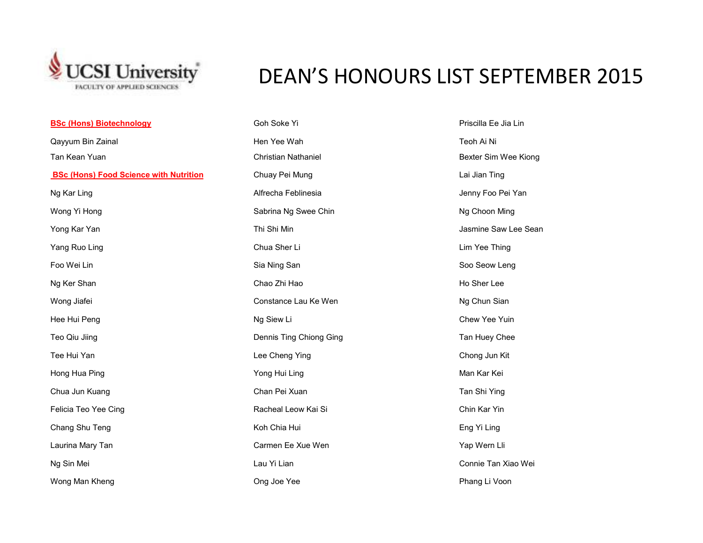

**BSc (Hons) Biotechnology**

## DEAN'S HONOURS LIST SEPTEMBER 2015

| <b>BSc (Hons) Biotechnology</b>               | Goh Soke Yi                | Priscilla Ee Jia Lin |
|-----------------------------------------------|----------------------------|----------------------|
| Qayyum Bin Zainal                             | Hen Yee Wah                | Teoh Ai Ni           |
| Tan Kean Yuan                                 | <b>Christian Nathaniel</b> | Bexter Sim Wee Ki    |
| <b>BSc (Hons) Food Science with Nutrition</b> | Chuay Pei Mung             | Lai Jian Ting        |
| Ng Kar Ling                                   | Alfrecha Feblinesia        | Jenny Foo Pei Yan    |
| Wong Yi Hong                                  | Sabrina Ng Swee Chin       | Ng Choon Ming        |
| Yong Kar Yan                                  | Thi Shi Min                | Jasmine Saw Lee :    |
| Yang Ruo Ling                                 | Chua Sher Li               | Lim Yee Thing        |
| Foo Wei Lin                                   | Sia Ning San               | Soo Seow Leng        |
| Ng Ker Shan                                   | Chao Zhi Hao               | Ho Sher Lee          |
| Wong Jiafei                                   | Constance Lau Ke Wen       | Ng Chun Sian         |
| Hee Hui Peng                                  | Ng Siew Li                 | Chew Yee Yuin        |
| Teo Qiu Jiing                                 | Dennis Ting Chiong Ging    | Tan Huey Chee        |
| Tee Hui Yan                                   | Lee Cheng Ying             | Chong Jun Kit        |
| Hong Hua Ping                                 | Yong Hui Ling              | Man Kar Kei          |
| Chua Jun Kuang                                | Chan Pei Xuan              | Tan Shi Ying         |
| Felicia Teo Yee Cing                          | Racheal Leow Kai Si        | Chin Kar Yin         |
| Chang Shu Teng                                | Koh Chia Hui               | Eng Yi Ling          |
| Laurina Mary Tan                              | Carmen Ee Xue Wen          | Yap Wern Lli         |
| Ng Sin Mei                                    | Lau Yi Lian                | Connie Tan Xiao V    |
| Wong Man Kheng                                | Ong Joe Yee                | Phang Li Voon        |

an Nathaniel **Tan Tan Tan Christian Christian Christian Bexter Sim Wee Kiong** ng Kar Ling Alen Alfred Alfred Alfred Alfred Alfred Alfred Alfred Alfred Alfred Alfred Alfred Alfred Alfred Al a Ng Swee Chin Ng Choon Ming Voltaire Saw Lee Sean Nin Jasmine Saw Lee Sean The Ruo Ling Chua Sher Ling Chua Sher Ling Chua Sher Ling Chua Sher Ling Chua Sher Ling Chua Sher Ling Chua Sher Ling Chua Sher Ling Chua Sher Ling Chua Sher Ling Chua Sher Ling Chua Sher Ling Chua Sher Ling Chua Sher Ling Ing San Ning San Soo Seow Leng nce Lau Ke Wen Ng Chun Sian Ting Chiong Ging Ting Chiong Ging Tan Huey Chee Teng Ying **Tee Austion Chong Jun Kit** Pei Xuan **Chua Jun Ang Pei Xuan Tan Shi Ying** n Ee Xue Wen **Naamaan Carmen Ee Xue Wen** Ng Sin Mei Lau Yi Lian Connie Tan Xiao Wei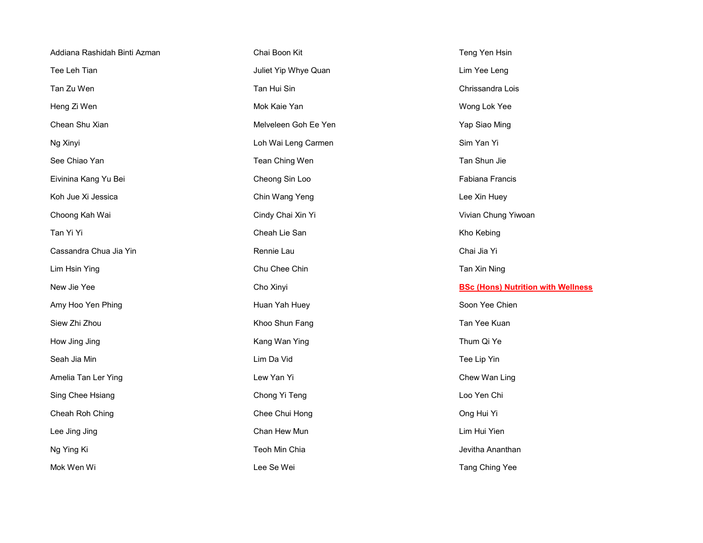| Addiana Rashidah Binti Azman | Chai Boon Kit        | Teng Yen Hsin                             |
|------------------------------|----------------------|-------------------------------------------|
| Tee Leh Tian                 | Juliet Yip Whye Quan | Lim Yee Leng                              |
| Tan Zu Wen                   | Tan Hui Sin          | Chrissandra Lois                          |
| Heng Zi Wen                  | Mok Kaie Yan         | Wong Lok Yee                              |
| Chean Shu Xian               | Melveleen Goh Ee Yen | Yap Siao Ming                             |
| Ng Xinyi                     | Loh Wai Leng Carmen  | Sim Yan Yi                                |
| See Chiao Yan                | Tean Ching Wen       | Tan Shun Jie                              |
| Eivinina Kang Yu Bei         | Cheong Sin Loo       | Fabiana Francis                           |
| Koh Jue Xi Jessica           | Chin Wang Yeng       | Lee Xin Huey                              |
| Choong Kah Wai               | Cindy Chai Xin Yi    | Vivian Chung Yiwoan                       |
| Tan Yi Yi                    | Cheah Lie San        | Kho Kebing                                |
| Cassandra Chua Jia Yin       | Rennie Lau           | Chai Jia Yi                               |
|                              |                      |                                           |
| Lim Hsin Ying                | Chu Chee Chin        | Tan Xin Ning                              |
| New Jie Yee                  | Cho Xinyi            | <b>BSc (Hons) Nutrition with Wellness</b> |
| Amy Hoo Yen Phing            | Huan Yah Huey        | Soon Yee Chien                            |
| Siew Zhi Zhou                | Khoo Shun Fang       | Tan Yee Kuan                              |
| How Jing Jing                | Kang Wan Ying        | Thum Qi Ye                                |
| Seah Jia Min                 | Lim Da Vid           | Tee Lip Yin                               |
| Amelia Tan Ler Ying          | Lew Yan Yi           | Chew Wan Ling                             |
| Sing Chee Hsiang             | Chong Yi Teng        | Loo Yen Chi                               |
| Cheah Roh Ching              | Chee Chui Hong       | Ong Hui Yi                                |
| Lee Jing Jing                | Chan Hew Mun         | Lim Hui Yien                              |
| Ng Ying Ki                   | Teoh Min Chia        | Jevitha Ananthan                          |